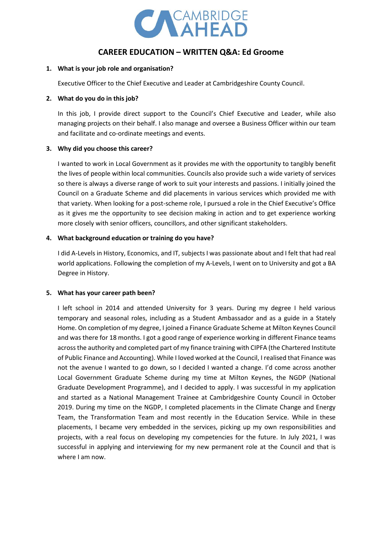

# **CAREER EDUCATION – WRITTEN Q&A: Ed Groome**

#### **1. What is your job role and organisation?**

Executive Officer to the Chief Executive and Leader at Cambridgeshire County Council.

#### **2. What do you do in this job?**

In this job, I provide direct support to the Council's Chief Executive and Leader, while also managing projects on their behalf. I also manage and oversee a Business Officer within our team and facilitate and co-ordinate meetings and events.

## **3. Why did you choose this career?**

I wanted to work in Local Government as it provides me with the opportunity to tangibly benefit the lives of people within local communities. Councils also provide such a wide variety of services so there is always a diverse range of work to suit your interests and passions. I initially joined the Council on a Graduate Scheme and did placements in various services which provided me with that variety. When looking for a post-scheme role, I pursued a role in the Chief Executive's Office as it gives me the opportunity to see decision making in action and to get experience working more closely with senior officers, councillors, and other significant stakeholders.

#### **4. What background education or training do you have?**

I did A-Levels in History, Economics, and IT, subjects I was passionate about and I felt that had real world applications. Following the completion of my A-Levels, I went on to University and got a BA Degree in History.

## **5. What has your career path been?**

I left school in 2014 and attended University for 3 years. During my degree I held various temporary and seasonal roles, including as a Student Ambassador and as a guide in a Stately Home. On completion of my degree, I joined a Finance Graduate Scheme at Milton Keynes Council and was there for 18 months. I got a good range of experience working in different Finance teams across the authority and completed part of my finance training with CIPFA (the Chartered Institute of Public Finance and Accounting). While I loved worked at the Council, I realised that Finance was not the avenue I wanted to go down, so I decided I wanted a change. I'd come across another Local Government Graduate Scheme during my time at Milton Keynes, the NGDP (National Graduate Development Programme), and I decided to apply. I was successful in my application and started as a National Management Trainee at Cambridgeshire County Council in October 2019. During my time on the NGDP, I completed placements in the Climate Change and Energy Team, the Transformation Team and most recently in the Education Service. While in these placements, I became very embedded in the services, picking up my own responsibilities and projects, with a real focus on developing my competencies for the future. In July 2021, I was successful in applying and interviewing for my new permanent role at the Council and that is where I am now.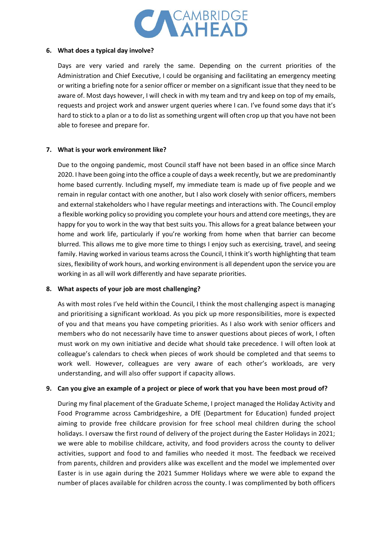

## **6. What does a typical day involve?**

Days are very varied and rarely the same. Depending on the current priorities of the Administration and Chief Executive, I could be organising and facilitating an emergency meeting or writing a briefing note for a senior officer or member on a significant issue that they need to be aware of. Most days however, I will check in with my team and try and keep on top of my emails, requests and project work and answer urgent queries where I can. I've found some days that it's hard to stick to a plan or a to do list as something urgent will often crop up that you have not been able to foresee and prepare for.

# **7. What is your work environment like?**

Due to the ongoing pandemic, most Council staff have not been based in an office since March 2020. I have been going into the office a couple of days a week recently, but we are predominantly home based currently. Including myself, my immediate team is made up of five people and we remain in regular contact with one another, but I also work closely with senior officers, members and external stakeholders who I have regular meetings and interactions with. The Council employ a flexible working policy so providing you complete your hours and attend core meetings, they are happy for you to work in the way that best suits you. This allows for a great balance between your home and work life, particularly if you're working from home when that barrier can become blurred. This allows me to give more time to things I enjoy such as exercising, travel, and seeing family. Having worked in various teams across the Council, I think it's worth highlighting that team sizes, flexibility of work hours, and working environment is all dependent upon the service you are working in as all will work differently and have separate priorities.

# **8. What aspects of your job are most challenging?**

As with most roles I've held within the Council, I think the most challenging aspect is managing and prioritising a significant workload. As you pick up more responsibilities, more is expected of you and that means you have competing priorities. As I also work with senior officers and members who do not necessarily have time to answer questions about pieces of work, I often must work on my own initiative and decide what should take precedence. I will often look at colleague's calendars to check when pieces of work should be completed and that seems to work well. However, colleagues are very aware of each other's workloads, are very understanding, and will also offer support if capacity allows.

# **9. Can you give an example of a project or piece of work that you have been most proud of?**

During my final placement of the Graduate Scheme, I project managed the Holiday Activity and Food Programme across Cambridgeshire, a DfE (Department for Education) funded project aiming to provide free childcare provision for free school meal children during the school holidays. I oversaw the first round of delivery of the project during the Easter Holidays in 2021; we were able to mobilise childcare, activity, and food providers across the county to deliver activities, support and food to and families who needed it most. The feedback we received from parents, children and providers alike was excellent and the model we implemented over Easter is in use again during the 2021 Summer Holidays where we were able to expand the number of places available for children across the county. I was complimented by both officers